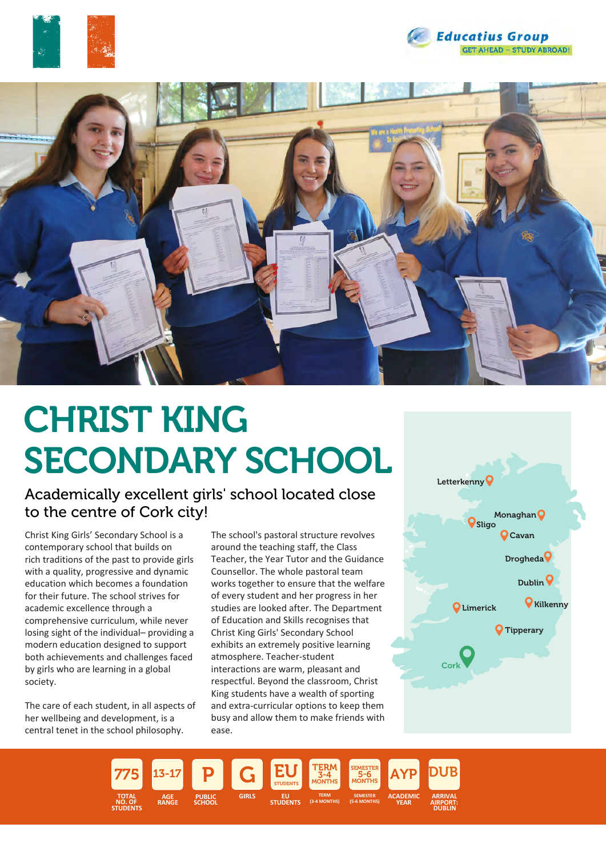





# CHRIST KING SECONDARY SCHOOL

Academically excellent girls' school located close to the centre of Cork city!

Christ King Girls' Secondary School is a contemporary school that builds on rich traditions of the past to provide girls with a quality, progressive and dynamic education which becomes a foundation for their future. The school strives for academic excellence through a comprehensive curriculum, while never losing sight of the individual– providing a modern education designed to support both achievements and challenges faced by girls who are learning in a global society.

The care of each student, in all aspects of her wellbeing and development, is a central tenet in the school philosophy.

The school's pastoral structure revolves around the teaching staff, the Class Teacher, the Year Tutor and the Guidance Counsellor. The whole pastoral team works together to ensure that the welfare of every student and her progress in her studies are looked after. The Department of Education and Skills recognises that Christ King Girls' Secondary School exhibits an extremely positive learning atmosphere. Teacher-student interactions are warm, pleasant and respectful. Beyond the classroom, Christ King students have a wealth of sporting and extra-curricular options to keep them busy and allow them to make friends with ease.



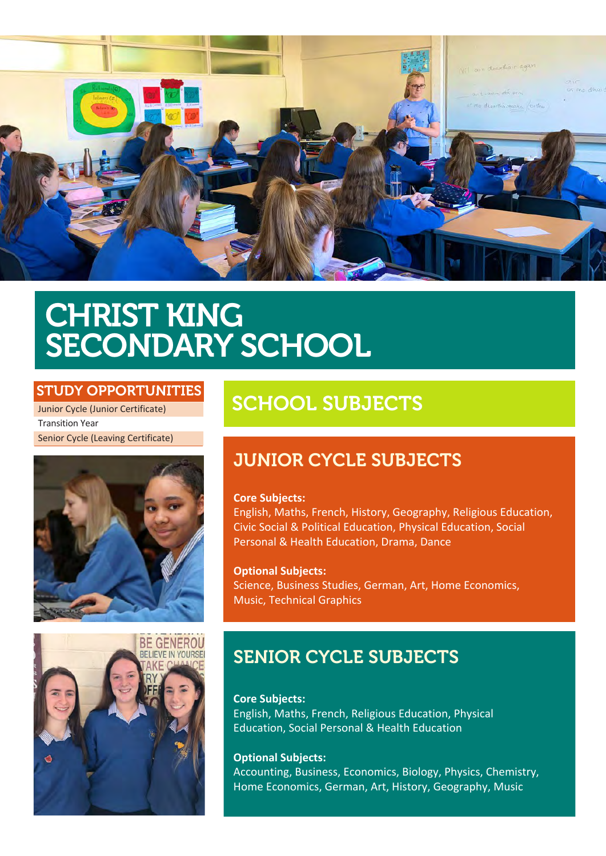

## CHRIST KING SECONDARY SCHOOL

## STUDY OPPORTUNITIES

Junior Cycle (Junior Certificate) Transition Year Senior Cycle (Leaving Certificate)





## SCHOOL SUBJECTS

## JUNIOR CYCLE SUBJECTS

### **Core Subjects:**

English, Maths, French, History, Geography, Religious Education, Civic Social & Political Education, Physical Education, Social Personal & Health Education, Drama, Dance

**Optional Subjects:** Science, Business Studies, German, Art, Home Economics, Music, Technical Graphics

## SENIOR CYCLE SUBJECTS

**Core Subjects:** English, Maths, French, Religious Education, Physical Education, Social Personal & Health Education

**Optional Subjects:** Accounting, Business, Economics, Biology, Physics, Chemistry, Home Economics, German, Art, History, Geography, Music